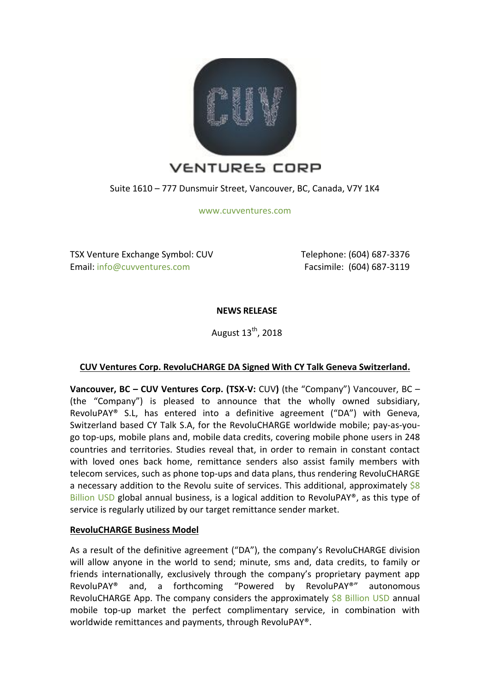

Suite 1610 – 777 Dunsmuir Street, Vancouver, BC, Canada, V7Y 1K4

[www.cuvventures.com](http://www.cuvventures.com/)

TSX Venture Exchange Symbol: CUV Email[: info@cuvventures.com](mailto:info@cuvventures.com)

 Telephone: (604) 687-3376 Facsimile: (604) 687-3119

**NEWS RELEASE**

August  $13^{th}$ , 2018

# **CUV Ventures Corp. RevoluCHARGE DA Signed With CY Talk Geneva Switzerland.**

**Vancouver, BC – CUV Ventures Corp. (TSX-V:** [CUV](http://web.tmxmoney.com/quote.php?qm_symbol=CUV)**)** (the "Company") Vancouver, BC – (the "Company") is pleased to announce that the wholly owned subsidiary, RevoluPAY® S.L, has entered into a definitive agreement ("DA") with Geneva, Switzerland based CY Talk S.A, for the RevoluCHARGE worldwide mobile; pay-as-yougo top-ups, mobile plans and, mobile data credits, covering mobile phone users in 248 countries and territories. Studies reveal that, in order to remain in constant contact with loved ones back home, remittance senders also assist family members with telecom services, such as phone top-ups and data plans, thus rendering RevoluCHARGE a necessary addition to the Revolu suite of services. This additional, approximately  $\frac{6}{5}8$ [Billion USD](https://www.quora.com/What-is-the-true-size-of-the-international-airtime-top-up-market-Ive-read-everything-from-1b-to-5-10-of-remittance-flows-20-30b-Everyone-from-Ding-to-Prepay-Nation-to-TransferTo-has-very-different-answers-to-this-question) global annual business, is a logical addition to RevoluPAY®, as this type of service is regularly utilized by our target remittance sender market.

# **RevoluCHARGE Business Model**

As a result of the definitive agreement ("DA"), the company's RevoluCHARGE division will allow anyone in the world to send; minute, sms and, data credits, to family or friends internationally, exclusively through the company's proprietary payment app RevoluPAY® and, a forthcoming "Powered by RevoluPAY®" autonomous RevoluCHARGE App. The company considers the approximately [\\$8 Billion USD](https://www.quora.com/What-is-the-true-size-of-the-international-airtime-top-up-market-Ive-read-everything-from-1b-to-5-10-of-remittance-flows-20-30b-Everyone-from-Ding-to-Prepay-Nation-to-TransferTo-has-very-different-answers-to-this-question) annual mobile top-up market the perfect complimentary service, in combination with worldwide remittances and payments, through RevoluPAY®.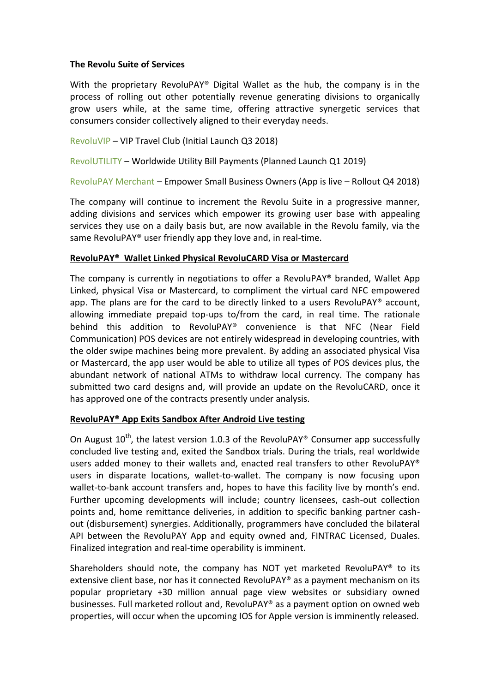### **The Revolu Suite of Services**

With the proprietary RevoluPAY® Digital Wallet as the hub, the company is in the process of rolling out other potentially revenue generating divisions to organically grow users while, at the same time, offering attractive synergetic services that consumers consider collectively aligned to their everyday needs.

[RevoluVIP](https://www.cuvventures.com/assets/docs/presentations/Presentation_RevoluVIP_2018.pdf) – VIP Travel Club (Initial Launch Q3 2018)

[RevolUTILITY](http://www.revolutility.com/) – Worldwide Utility Bill Payments (Planned Launch Q1 2019)

[RevoluPAY Merchant](https://play.google.com/store/apps/details?id=com.revolupayclient.vsla.revolupaymerchant) – Empower Small Business Owners (App is live – Rollout Q4 2018)

The company will continue to increment the Revolu Suite in a progressive manner, adding divisions and services which empower its growing user base with appealing services they use on a daily basis but, are now available in the Revolu family, via the same RevoluPAY® user friendly app they love and, in real-time.

### **RevoluPAY® Wallet Linked Physical RevoluCARD Visa or Mastercard**

The company is currently in negotiations to offer a RevoluPAY® branded, Wallet App Linked, physical Visa or Mastercard, to compliment the virtual card NFC empowered app. The plans are for the card to be directly linked to a users RevoluPAY® account, allowing immediate prepaid top-ups to/from the card, in real time. The rationale behind this addition to RevoluPAY® convenience is that NFC (Near Field Communication) POS devices are not entirely widespread in developing countries, with the older swipe machines being more prevalent. By adding an associated physical Visa or Mastercard, the app user would be able to utilize all types of POS devices plus, the abundant network of national ATMs to withdraw local currency. The company has submitted two card designs and, will provide an update on the RevoluCARD, once it has approved one of the contracts presently under analysis.

### **RevoluPAY® App Exits Sandbox After Android Live testing**

On August  $10^{th}$ , the latest version 1.0.3 of the RevoluPAY® Consumer app successfully concluded live testing and, exited the Sandbox trials. During the trials, real worldwide users added money to their wallets and, enacted real transfers to other RevoluPAY® users in disparate locations, wallet-to-wallet. The company is now focusing upon wallet-to-bank account transfers and, hopes to have this facility live by month's end. Further upcoming developments will include; country licensees, cash-out collection points and, home remittance deliveries, in addition to specific banking partner cashout (disbursement) synergies. Additionally, programmers have concluded the bilateral API between the RevoluPAY App and equity owned and, FINTRAC Licensed, Duales. Finalized integration and real-time operability is imminent.

Shareholders should note, the company has NOT yet marketed RevoluPAY® to its extensive client base, nor has it connected RevoluPAY® as a payment mechanism on its popular proprietary +30 million annual page view websites or subsidiary owned businesses. Full marketed rollout and, RevoluPAY® as a payment option on owned web properties, will occur when the upcoming IOS for Apple version is imminently released.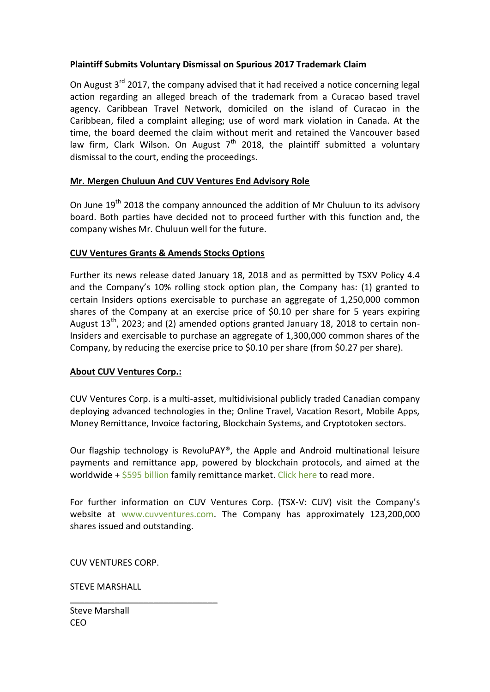# **Plaintiff Submits Voluntary Dismissal on Spurious 2017 Trademark Claim**

On August 3<sup>rd</sup> 2017, the company advised that it had received a notice concerning legal action regarding an alleged breach of the trademark from a Curacao based travel agency. Caribbean Travel Network, domiciled on the island of Curacao in the Caribbean, filed a complaint alleging; use of word mark violation in Canada. At the time, the board deemed the claim without merit and retained the Vancouver based law firm, Clark Wilson. On August  $7<sup>th</sup>$  2018, the plaintiff submitted a voluntary dismissal to the court, ending the proceedings.

## **Mr. Mergen Chuluun And CUV Ventures End Advisory Role**

On June  $19<sup>th</sup>$  2018 the company announced the addition of Mr Chuluun to its advisory board. Both parties have decided not to proceed further with this function and, the company wishes Mr. Chuluun well for the future.

## **CUV Ventures Grants & Amends Stocks Options**

Further its news release dated January 18, 2018 and as permitted by TSXV Policy 4.4 and the Company's 10% rolling stock option plan, the Company has: (1) granted to certain Insiders options exercisable to purchase an aggregate of 1,250,000 common shares of the Company at an exercise price of \$0.10 per share for 5 years expiring August  $13^{th}$ , 2023; and (2) amended options granted January 18, 2018 to certain non-Insiders and exercisable to purchase an aggregate of 1,300,000 common shares of the Company, by reducing the exercise price to \$0.10 per share (from \$0.27 per share).

### **About CUV Ventures Corp.:**

CUV Ventures Corp. is a multi-asset, multidivisional publicly traded Canadian company deploying advanced technologies in the; Online Travel, Vacation Resort, Mobile Apps, Money Remittance, Invoice factoring, Blockchain Systems, and Cryptotoken sectors.

Our flagship technology is RevoluPAY®, the Apple and Android multinational leisure payments and remittance app, powered by blockchain protocols, and aimed at the worldwide + [\\$595 billion](http://www.worldbank.org/en/topic/migrationremittancesdiasporaissues/brief/migration-remittances-data) family remittance market. [Click here](https://cuvventures.com/about/about-cuv-ventures) to read more.

For further information on CUV Ventures Corp. (TSX-V: CUV) visit the Company's website at [www.cuvventures.com.](http://www.cuvventures.com/) The Company has approximately 123,200,000 shares issued and outstanding.

CUV VENTURES CORP.

 $\overline{\phantom{a}}$  , where  $\overline{\phantom{a}}$  , where  $\overline{\phantom{a}}$  , where  $\overline{\phantom{a}}$ 

STEVE MARSHALL

Steve Marshall CEO